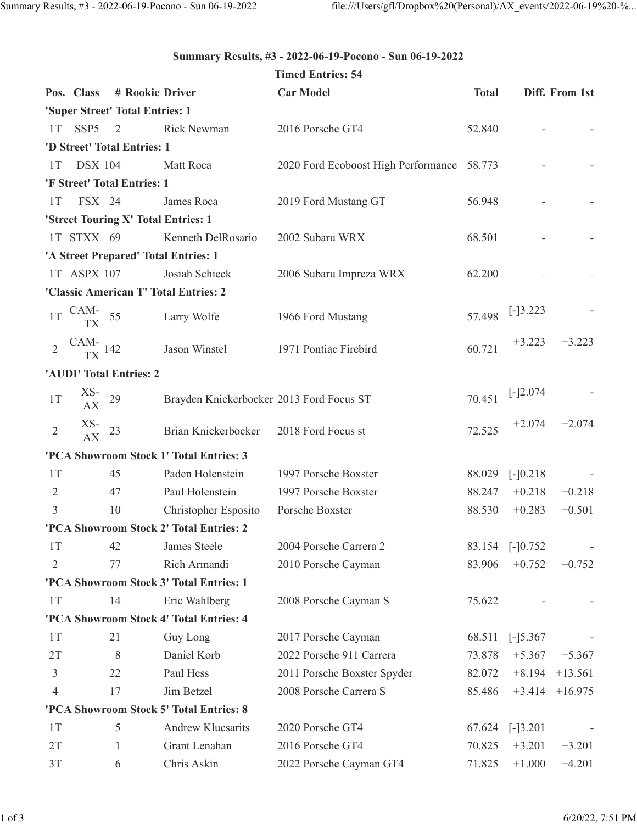## **Summary Results, #3 - 2022-06-19-Pocono - Sun 06-19-2022**

|                |                      |                                     |                                          | <b>Timed Entries: 54</b>                   |              |            |                |
|----------------|----------------------|-------------------------------------|------------------------------------------|--------------------------------------------|--------------|------------|----------------|
|                | Pos. Class           | # Rookie Driver                     |                                          | <b>Car Model</b>                           | <b>Total</b> |            | Diff. From 1st |
|                |                      | 'Super Street' Total Entries: 1     |                                          |                                            |              |            |                |
| 1T             | SSP <sub>5</sub>     | 2                                   | <b>Rick Newman</b>                       | 2016 Porsche GT4                           | 52.840       |            |                |
|                |                      | 'D Street' Total Entries: 1         |                                          |                                            |              |            |                |
| 1T             | <b>DSX 104</b>       |                                     | Matt Roca                                | 2020 Ford Ecoboost High Performance 58.773 |              |            |                |
|                |                      | 'F Street' Total Entries: 1         |                                          |                                            |              |            |                |
| 1T             | FSX 24               |                                     | James Roca                               | 2019 Ford Mustang GT                       | 56.948       |            |                |
|                |                      | 'Street Touring X' Total Entries: 1 |                                          |                                            |              |            |                |
|                | 1T STXX 69           |                                     | Kenneth DelRosario                       | 2002 Subaru WRX                            | 68.501       |            |                |
|                |                      |                                     | 'A Street Prepared' Total Entries: 1     |                                            |              |            |                |
|                | 1T ASPX 107          |                                     | Josiah Schieck                           | 2006 Subaru Impreza WRX                    | 62.200       |            |                |
|                |                      |                                     | 'Classic American T' Total Entries: 2    |                                            |              |            |                |
| 1T             | CAM-<br>TX           | 55                                  | Larry Wolfe                              | 1966 Ford Mustang                          | 57.498       | $[-]3.223$ |                |
| $\overline{2}$ | CAM- $_{\rm TX}$ 142 |                                     | Jason Winstel                            | 1971 Pontiac Firebird                      | 60.721       | $+3.223$   | $+3.223$       |
|                |                      | 'AUDI' Total Entries: 2             |                                          |                                            |              |            |                |
| 1T             | $XS-$<br>AX          | 29                                  | Brayden Knickerbocker 2013 Ford Focus ST |                                            | 70.451       | $[-]2.074$ |                |
| $\overline{2}$ | $XS-$<br>AX          | 23                                  | Brian Knickerbocker                      | 2018 Ford Focus st                         | 72.525       | $+2.074$   | $+2.074$       |
|                |                      |                                     | 'PCA Showroom Stock 1' Total Entries: 3  |                                            |              |            |                |
| 1T             |                      | 45                                  | Paden Holenstein                         | 1997 Porsche Boxster                       | 88.029       | $[-]0.218$ |                |
| $\overline{2}$ |                      | 47                                  | Paul Holenstein                          | 1997 Porsche Boxster                       | 88.247       | $+0.218$   | $+0.218$       |
| 3              |                      | 10                                  | Christopher Esposito                     | Porsche Boxster                            | 88.530       | $+0.283$   | $+0.501$       |
|                |                      |                                     | 'PCA Showroom Stock 2' Total Entries: 2  |                                            |              |            |                |
| 1T             |                      | 42                                  | James Steele                             | 2004 Porsche Carrera 2                     | 83.154       | $[-]0.752$ |                |
| $\overline{2}$ |                      | 77                                  | Rich Armandi                             | 2010 Porsche Cayman                        | 83.906       | $+0.752$   | $+0.752$       |
|                |                      |                                     | 'PCA Showroom Stock 3' Total Entries: 1  |                                            |              |            |                |
| 1T             |                      | 14                                  | Eric Wahlberg                            | 2008 Porsche Cayman S                      | 75.622       |            |                |
|                |                      |                                     | 'PCA Showroom Stock 4' Total Entries: 4  |                                            |              |            |                |
| 1T             |                      | 21                                  | Guy Long                                 | 2017 Porsche Cayman                        | 68.511       | $[-]5.367$ |                |
| 2T             |                      | 8                                   | Daniel Korb                              | 2022 Porsche 911 Carrera                   | 73.878       | $+5.367$   | $+5.367$       |
| 3              |                      | 22                                  | Paul Hess                                | 2011 Porsche Boxster Spyder                | 82.072       | $+8.194$   | $+13.561$      |
| 4              |                      | 17                                  | Jim Betzel                               | 2008 Porsche Carrera S                     | 85.486       | $+3.414$   | $+16.975$      |
|                |                      |                                     | 'PCA Showroom Stock 5' Total Entries: 8  |                                            |              |            |                |
| 1T             |                      | 5                                   | <b>Andrew Klucsarits</b>                 | 2020 Porsche GT4                           | 67.624       | $[-]3.201$ |                |
| 2T             |                      | 1                                   | Grant Lenahan                            | 2016 Porsche GT4                           | 70.825       | $+3.201$   | $+3.201$       |
| 3T             |                      | 6                                   | Chris Askin                              | 2022 Porsche Cayman GT4                    | 71.825       | $+1.000$   | $+4.201$       |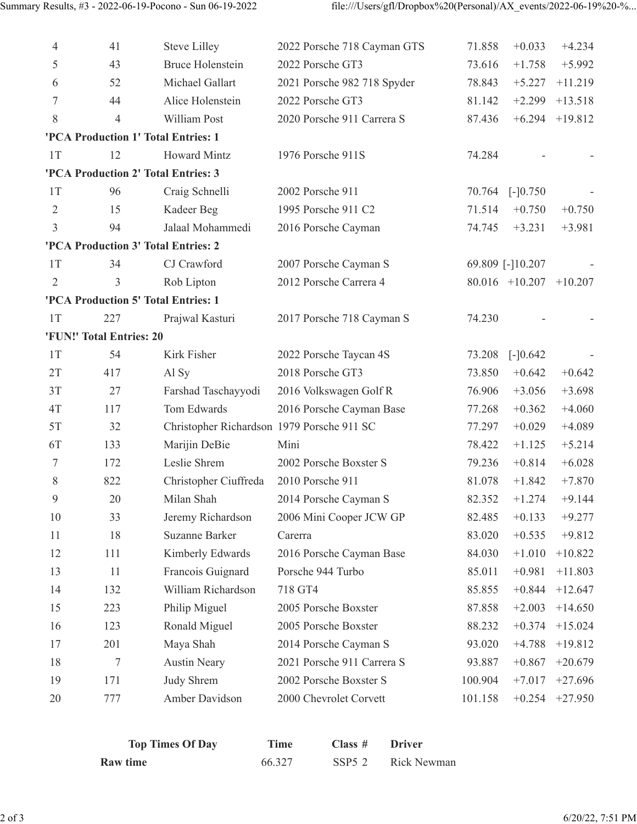| 4              | 41                       | <b>Steve Lilley</b>                        | 2022 Porsche 718 Cayman GTS | 71.858  | $+0.033$         | $+4.234$  |
|----------------|--------------------------|--------------------------------------------|-----------------------------|---------|------------------|-----------|
| 5              | 43                       | <b>Bruce Holenstein</b>                    | 2022 Porsche GT3            | 73.616  | $+1.758$         | $+5.992$  |
| 6              | 52                       | Michael Gallart                            | 2021 Porsche 982 718 Spyder | 78.843  | $+5.227$         | $+11.219$ |
| 7              | 44                       | Alice Holenstein                           | 2022 Porsche GT3            | 81.142  | $+2.299$         | $+13.518$ |
| 8              | 4                        | William Post                               | 2020 Porsche 911 Carrera S  | 87.436  | $+6.294$         | $+19.812$ |
|                |                          | 'PCA Production 1' Total Entries: 1        |                             |         |                  |           |
| 1T             | 12                       | <b>Howard Mintz</b>                        | 1976 Porsche 911S           | 74.284  |                  |           |
|                |                          | 'PCA Production 2' Total Entries: 3        |                             |         |                  |           |
| 1T             | 96                       | Craig Schnelli                             | 2002 Porsche 911            | 70.764  | $[-]0.750$       |           |
| $\overline{2}$ | 15                       | Kadeer Beg                                 | 1995 Porsche 911 C2         | 71.514  | $+0.750$         | $+0.750$  |
| $\mathfrak{Z}$ | 94                       | Jalaal Mohammedi                           | 2016 Porsche Cayman         | 74.745  | $+3.231$         | $+3.981$  |
|                |                          | 'PCA Production 3' Total Entries: 2        |                             |         |                  |           |
| 1T             | 34                       | CJ Crawford                                | 2007 Porsche Cayman S       |         | 69.809 [-]10.207 |           |
| $\overline{2}$ | 3                        | Rob Lipton                                 | 2012 Porsche Carrera 4      |         | $80.016$ +10.207 | $+10.207$ |
|                |                          | 'PCA Production 5' Total Entries: 1        |                             |         |                  |           |
| 1T             | 227                      | Prajwal Kasturi                            | 2017 Porsche 718 Cayman S   | 74.230  |                  |           |
|                | 'FUN!' Total Entries: 20 |                                            |                             |         |                  |           |
| 1T             | 54                       | Kirk Fisher                                | 2022 Porsche Taycan 4S      | 73.208  | $[-]0.642$       |           |
| 2T             | 417                      | Al Sy                                      | 2018 Porsche GT3            | 73.850  | $+0.642$         | $+0.642$  |
| 3T             | 27                       | Farshad Taschayyodi                        | 2016 Volkswagen Golf R      | 76.906  | $+3.056$         | $+3.698$  |
| 4T             | 117                      | Tom Edwards                                | 2016 Porsche Cayman Base    | 77.268  | $+0.362$         | $+4.060$  |
| 5T             | 32                       | Christopher Richardson 1979 Porsche 911 SC |                             | 77.297  | $+0.029$         | $+4.089$  |
| 6T             | 133                      | Marijin DeBie                              | Mini                        | 78.422  | $+1.125$         | $+5.214$  |
| 7              | 172                      | Leslie Shrem                               | 2002 Porsche Boxster S      | 79.236  | $+0.814$         | $+6.028$  |
| 8              | 822                      | Christopher Ciuffreda                      | 2010 Porsche 911            | 81.078  | $+1.842$         | $+7.870$  |
| 9              | 20                       | Milan Shah                                 | 2014 Porsche Cayman S       | 82.352  | $+1.274$         | $+9.144$  |
| 10             | 33                       | Jeremy Richardson                          | 2006 Mini Cooper JCW GP     | 82.485  | $+0.133$         | $+9.277$  |
| 11             | 18                       | Suzanne Barker                             | Carerra                     | 83.020  | $+0.535$         | $+9.812$  |
| 12             | 111                      | Kimberly Edwards                           | 2016 Porsche Cayman Base    | 84.030  | $+1.010$         | $+10.822$ |
| 13             | 11                       | Francois Guignard                          | Porsche 944 Turbo           | 85.011  | $+0.981$         | $+11.803$ |
| 14             | 132                      | William Richardson                         | 718 GT4                     | 85.855  | $+0.844$         | $+12.647$ |
| 15             | 223                      | Philip Miguel                              | 2005 Porsche Boxster        | 87.858  | $+2.003$         | $+14.650$ |
| 16             | 123                      | Ronald Miguel                              | 2005 Porsche Boxster        | 88.232  | $+0.374$         | $+15.024$ |
| 17             | 201                      | Maya Shah                                  | 2014 Porsche Cayman S       | 93.020  | $+4.788$         | $+19.812$ |
| 18             | 7                        | <b>Austin Neary</b>                        | 2021 Porsche 911 Carrera S  | 93.887  | $+0.867$         | $+20.679$ |
| 19             | 171                      | Judy Shrem                                 | 2002 Porsche Boxster S      | 100.904 | $+7.017$         | $+27.696$ |
| 20             | 777                      | Amber Davidson                             | 2000 Chevrolet Corvett      | 101.158 | $+0.254$         | $+27.950$ |
|                |                          |                                            |                             |         |                  |           |

| <b>Top Times Of Day</b> | Time   | Class # | Driver      |
|-------------------------|--------|---------|-------------|
| Raw time                | 66.327 | SSP52   | Rick Newman |